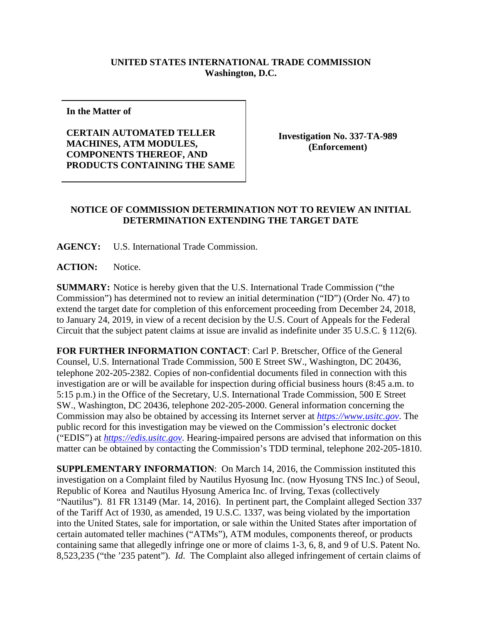## **UNITED STATES INTERNATIONAL TRADE COMMISSION Washington, D.C.**

**In the Matter of**

**CERTAIN AUTOMATED TELLER MACHINES, ATM MODULES, COMPONENTS THEREOF, AND PRODUCTS CONTAINING THE SAME**

**Investigation No. 337-TA-989 (Enforcement)**

## **NOTICE OF COMMISSION DETERMINATION NOT TO REVIEW AN INITIAL DETERMINATION EXTENDING THE TARGET DATE**

**AGENCY:** U.S. International Trade Commission.

**ACTION:** Notice.

**SUMMARY:** Notice is hereby given that the U.S. International Trade Commission ("the Commission") has determined not to review an initial determination ("ID") (Order No. 47) to extend the target date for completion of this enforcement proceeding from December 24, 2018, to January 24, 2019, in view of a recent decision by the U.S. Court of Appeals for the Federal Circuit that the subject patent claims at issue are invalid as indefinite under 35 U.S.C. § 112(6).

**FOR FURTHER INFORMATION CONTACT**: Carl P. Bretscher, Office of the General Counsel, U.S. International Trade Commission, 500 E Street SW., Washington, DC 20436, telephone 202-205-2382. Copies of non-confidential documents filed in connection with this investigation are or will be available for inspection during official business hours (8:45 a.m. to 5:15 p.m.) in the Office of the Secretary, U.S. International Trade Commission, 500 E Street SW., Washington, DC 20436, telephone 202-205-2000. General information concerning the Commission may also be obtained by accessing its Internet server at *[https://www.usitc.gov](https://www.usitc.gov/)*. The public record for this investigation may be viewed on the Commission's electronic docket ("EDIS") at *[https://edis.usitc.gov](https://edis.usitc.gov/)*. Hearing-impaired persons are advised that information on this matter can be obtained by contacting the Commission's TDD terminal, telephone 202-205-1810.

**SUPPLEMENTARY INFORMATION**: On March 14, 2016, the Commission instituted this investigation on a Complaint filed by Nautilus Hyosung Inc. (now Hyosung TNS Inc.) of Seoul, Republic of Korea and Nautilus Hyosung America Inc. of Irving, Texas (collectively "Nautilus"). 81 FR 13149 (Mar. 14, 2016). In pertinent part, the Complaint alleged Section 337 of the Tariff Act of 1930, as amended, 19 U.S.C. 1337, was being violated by the importation into the United States, sale for importation, or sale within the United States after importation of certain automated teller machines ("ATMs"), ATM modules, components thereof, or products containing same that allegedly infringe one or more of claims 1-3, 6, 8, and 9 of U.S. Patent No. 8,523,235 ("the '235 patent"). *Id*. The Complaint also alleged infringement of certain claims of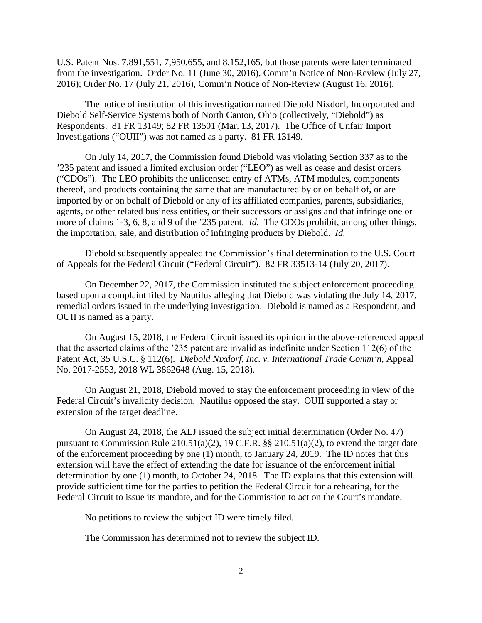U.S. Patent Nos. 7,891,551, 7,950,655, and 8,152,165, but those patents were later terminated from the investigation. Order No. 11 (June 30, 2016), Comm'n Notice of Non-Review (July 27, 2016); Order No. 17 (July 21, 2016), Comm'n Notice of Non-Review (August 16, 2016).

The notice of institution of this investigation named Diebold Nixdorf, Incorporated and Diebold Self-Service Systems both of North Canton, Ohio (collectively, "Diebold") as Respondents. 81 FR 13149; 82 FR 13501 (Mar. 13, 2017). The Office of Unfair Import Investigations ("OUII") was not named as a party. 81 FR 13149*.*

On July 14, 2017, the Commission found Diebold was violating Section 337 as to the '235 patent and issued a limited exclusion order ("LEO") as well as cease and desist orders ("CDOs"). The LEO prohibits the unlicensed entry of ATMs, ATM modules, components thereof, and products containing the same that are manufactured by or on behalf of, or are imported by or on behalf of Diebold or any of its affiliated companies, parents, subsidiaries, agents, or other related business entities, or their successors or assigns and that infringe one or more of claims 1-3, 6, 8, and 9 of the '235 patent. *Id.* The CDOs prohibit, among other things, the importation, sale, and distribution of infringing products by Diebold. *Id.*

Diebold subsequently appealed the Commission's final determination to the U.S. Court of Appeals for the Federal Circuit ("Federal Circuit"). 82 FR 33513-14 (July 20, 2017).

On December 22, 2017, the Commission instituted the subject enforcement proceeding based upon a complaint filed by Nautilus alleging that Diebold was violating the July 14, 2017, remedial orders issued in the underlying investigation. Diebold is named as a Respondent, and OUII is named as a party.

On August 15, 2018, the Federal Circuit issued its opinion in the above-referenced appeal that the asserted claims of the '235 patent are invalid as indefinite under Section 112(6) of the Patent Act, 35 U.S.C. § 112(6). *Diebold Nixdorf, Inc. v. International Trade Comm'n*, Appeal No. 2017-2553, 2018 WL 3862648 (Aug. 15, 2018).

On August 21, 2018, Diebold moved to stay the enforcement proceeding in view of the Federal Circuit's invalidity decision. Nautilus opposed the stay. OUII supported a stay or extension of the target deadline.

On August 24, 2018, the ALJ issued the subject initial determination (Order No. 47) pursuant to Commission Rule 210.51(a)(2), 19 C.F.R. §§ 210.51(a)(2), to extend the target date of the enforcement proceeding by one (1) month, to January 24, 2019. The ID notes that this extension will have the effect of extending the date for issuance of the enforcement initial determination by one (1) month, to October 24, 2018. The ID explains that this extension will provide sufficient time for the parties to petition the Federal Circuit for a rehearing, for the Federal Circuit to issue its mandate, and for the Commission to act on the Court's mandate.

No petitions to review the subject ID were timely filed.

The Commission has determined not to review the subject ID.